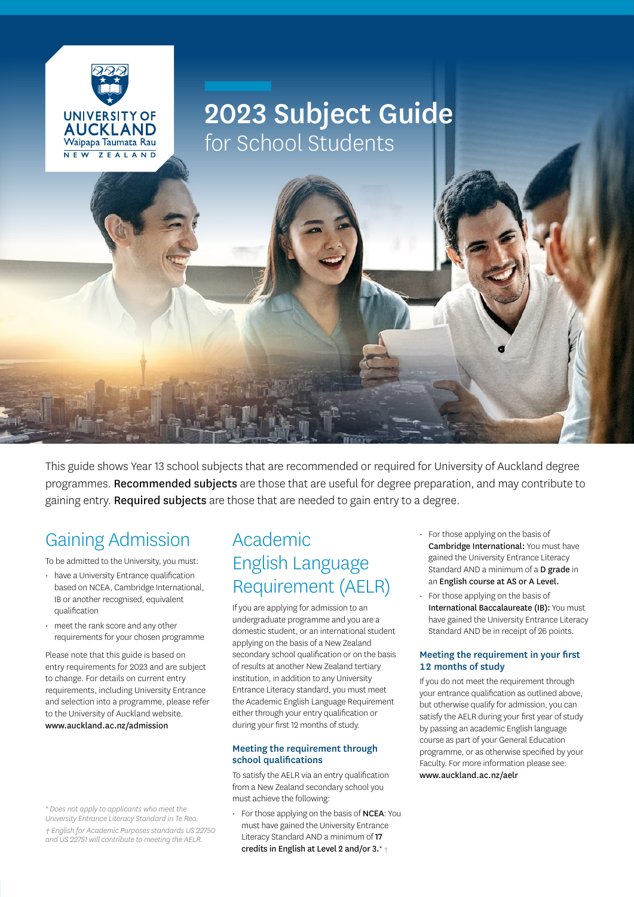

## 2023 Subject Guide for School Students

This guide shows Year 13 school subjects that are recommended or required for University of Auckland degree programmes. Recommended subjects are those that are useful for degree preparation, and may contribute to gaining entry. Required subjects are those that are needed to gain entry to a degree.

### Gaining Admission

To be admitted to the University, you must:

- have a University Entrance qualification based on NCEA, Cambridge International, IB or another recognised, equivalent qualification
- meet the rank score and any other requirements for your chosen programme

Please note that this guide is based on entry requirements for 2023 and are subject to change. For details on current entry requirements, including University Entrance and selection into a programme, please refer to the University of Auckland website. www.auckland.ac.nz/admission

*\* Does not apply to applicants who meet the University Entrance Literacy Standard in Te Reo. † English for Academic Purposes standards US 22750 and US 22751 will contribute to meeting the AELR.*

### Academic English Language Requirement (AELR)

If you are applying for admission to an undergraduate programme and you are a domestic student, or an international student applying on the basis of a New Zealand secondary school qualification or on the basis of results at another New Zealand tertiary institution, in addition to any University Entrance Literacy standard, you must meet the Academic English Language Requirement either through your entry qualification or during your first 12 months of study.

#### Meeting the requirement through school qualifications

To satisfy the AELR via an entry qualification from a New Zealand secondary school you must achieve the following:

• For those applying on the basis of NCEA: You must have gained the University Entrance Literacy Standard AND a minimum of 17 credits in English at Level 2 and/or 3.\* †

- For those applying on the basis of Cambridge International: You must have gained the University Entrance Literacy Standard AND a minimum of a D grade in an English course at AS or A Level.
- For those applying on the basis of International Baccalaureate (IB): You must have gained the University Entrance Literacy Standard AND be in receipt of 26 points.

#### Meeting the requirement in your first 12 months of study

If you do not meet the requirement through your entrance qualification as outlined above, but otherwise qualify for admission, you can satisfy the AELR during your first year of study by passing an academic English language course as part of your General Education programme, or as otherwise specified by your Faculty. For more information please see: www.auckland.ac.nz/aelr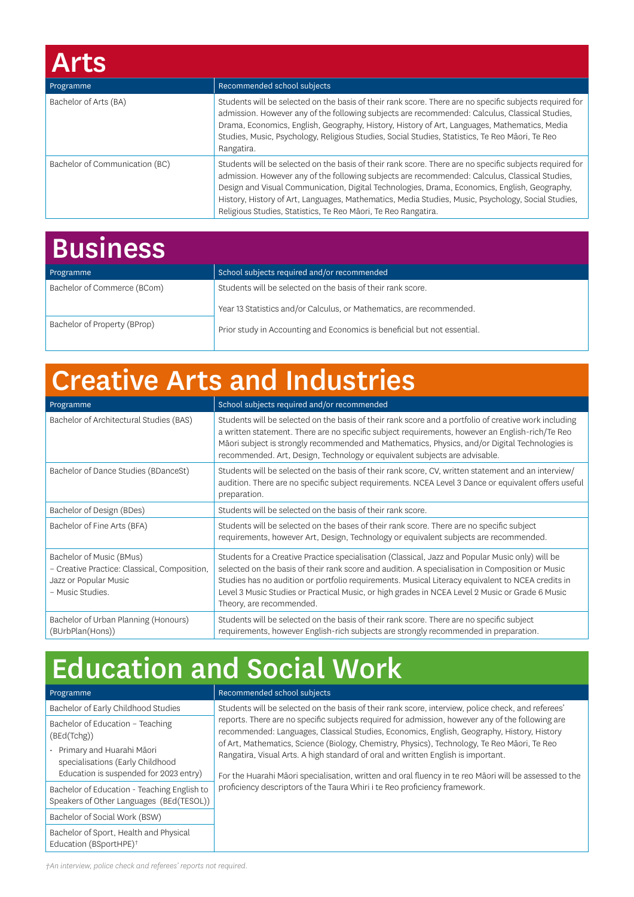| <b>Arts</b>                    |                                                                                                                                                                                                                                                                                                                                                                                                                                                                                   |
|--------------------------------|-----------------------------------------------------------------------------------------------------------------------------------------------------------------------------------------------------------------------------------------------------------------------------------------------------------------------------------------------------------------------------------------------------------------------------------------------------------------------------------|
| Programme                      | Recommended school subjects                                                                                                                                                                                                                                                                                                                                                                                                                                                       |
| Bachelor of Arts (BA)          | Students will be selected on the basis of their rank score. There are no specific subjects required for<br>admission. However any of the following subjects are recommended: Calculus, Classical Studies,<br>Drama, Economics, English, Geography, History, History of Art, Languages, Mathematics, Media<br>Studies, Music, Psychology, Religious Studies, Social Studies, Statistics, Te Reo Māori, Te Reo<br>Rangatira.                                                        |
| Bachelor of Communication (BC) | Students will be selected on the basis of their rank score. There are no specific subjects required for<br>admission. However any of the following subjects are recommended: Calculus, Classical Studies,<br>Design and Visual Communication, Digital Technologies, Drama, Economics, English, Geography,<br>History, History of Art, Languages, Mathematics, Media Studies, Music, Psychology, Social Studies,<br>Religious Studies, Statistics, Te Reo Māori, Te Reo Rangatira. |

| <b>Business</b>              |                                                                          |
|------------------------------|--------------------------------------------------------------------------|
| Programme                    | School subjects required and/or recommended                              |
| Bachelor of Commerce (BCom)  | Students will be selected on the basis of their rank score.              |
|                              | Year 13 Statistics and/or Calculus, or Mathematics, are recommended.     |
| Bachelor of Property (BProp) | Prior study in Accounting and Economics is beneficial but not essential. |

# Creative Arts and Industries

| Programme                                                                                                             | School subjects required and/or recommended                                                                                                                                                                                                                                                                                                                                                                                              |
|-----------------------------------------------------------------------------------------------------------------------|------------------------------------------------------------------------------------------------------------------------------------------------------------------------------------------------------------------------------------------------------------------------------------------------------------------------------------------------------------------------------------------------------------------------------------------|
| Bachelor of Architectural Studies (BAS)                                                                               | Students will be selected on the basis of their rank score and a portfolio of creative work including<br>a written statement. There are no specific subject requirements, however an English-rich/Te Reo<br>Māori subject is strongly recommended and Mathematics, Physics, and/or Digital Technologies is<br>recommended. Art, Design, Technology or equivalent subjects are advisable.                                                 |
| Bachelor of Dance Studies (BDanceSt)                                                                                  | Students will be selected on the basis of their rank score, CV, written statement and an interview/<br>audition. There are no specific subject requirements. NCEA Level 3 Dance or equivalent offers useful<br>preparation.                                                                                                                                                                                                              |
| Bachelor of Design (BDes)                                                                                             | Students will be selected on the basis of their rank score.                                                                                                                                                                                                                                                                                                                                                                              |
| Bachelor of Fine Arts (BFA)                                                                                           | Students will be selected on the bases of their rank score. There are no specific subject<br>requirements, however Art, Design, Technology or equivalent subjects are recommended.                                                                                                                                                                                                                                                       |
| Bachelor of Music (BMus)<br>- Creative Practice: Classical, Composition,<br>Jazz or Popular Music<br>- Music Studies. | Students for a Creative Practice specialisation (Classical, Jazz and Popular Music only) will be<br>selected on the basis of their rank score and audition. A specialisation in Composition or Music<br>Studies has no audition or portfolio requirements. Musical Literacy equivalent to NCEA credits in<br>Level 3 Music Studies or Practical Music, or high grades in NCEA Level 2 Music or Grade 6 Music<br>Theory, are recommended. |
| Bachelor of Urban Planning (Honours)<br>(BUrbPlan(Hons))                                                              | Students will be selected on the basis of their rank score. There are no specific subject<br>requirements, however English-rich subjects are strongly recommended in preparation.                                                                                                                                                                                                                                                        |

## Education and Social Work

| Programme                                                                               | Recommended school subjects                                                                                                                                                                    |
|-----------------------------------------------------------------------------------------|------------------------------------------------------------------------------------------------------------------------------------------------------------------------------------------------|
| Bachelor of Early Childhood Studies                                                     | Students will be selected on the basis of their rank score, interview, police check, and referees'                                                                                             |
| Bachelor of Education - Teaching<br>(BEd(Tchg))                                         | reports. There are no specific subjects required for admission, however any of the following are<br>recommended: Languages, Classical Studies, Economics, English, Geography, History, History |
| Primary and Huarahi Māori<br>specialisations (Early Childhood                           | of Art, Mathematics, Science (Biology, Chemistry, Physics), Technology, Te Reo Māori, Te Reo<br>Rangatira, Visual Arts. A high standard of oral and written English is important.              |
| Education is suspended for 2023 entry)                                                  | For the Huarahi Māori specialisation, written and oral fluency in te reo Māori will be assessed to the                                                                                         |
| Bachelor of Education - Teaching English to<br>Speakers of Other Languages (BEd(TESOL)) | proficiency descriptors of the Taura Whiri i te Reo proficiency framework.                                                                                                                     |
| Bachelor of Social Work (BSW)                                                           |                                                                                                                                                                                                |
| Bachelor of Sport, Health and Physical<br>Education (BSportHPE) <sup>+</sup>            |                                                                                                                                                                                                |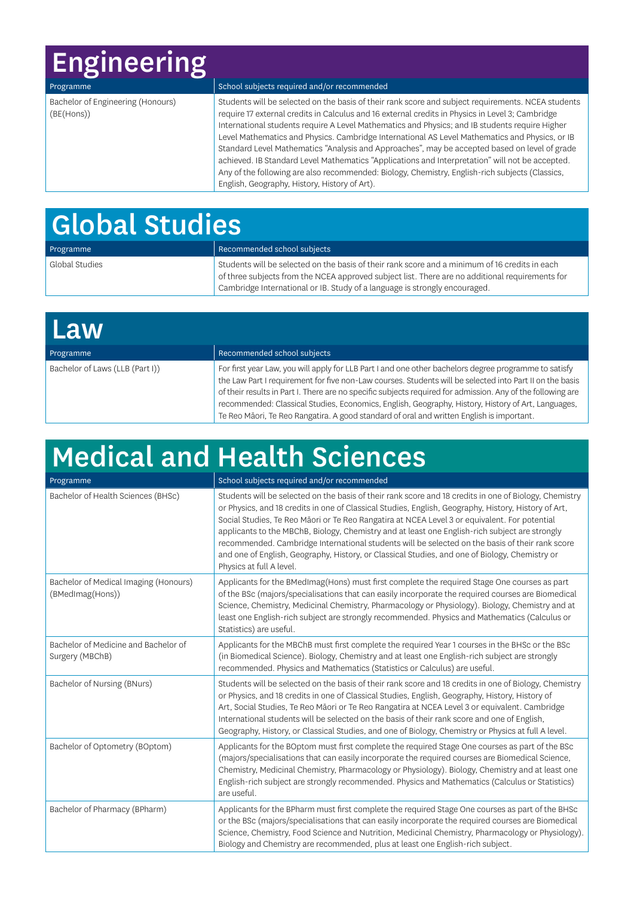# Engineering

| Programme                                       | School subjects required and/or recommended                                                                                                                                                                                                                                                                                                                                                                                                                                                                                                                                                                                                                                                                                                                        |
|-------------------------------------------------|--------------------------------------------------------------------------------------------------------------------------------------------------------------------------------------------------------------------------------------------------------------------------------------------------------------------------------------------------------------------------------------------------------------------------------------------------------------------------------------------------------------------------------------------------------------------------------------------------------------------------------------------------------------------------------------------------------------------------------------------------------------------|
| Bachelor of Engineering (Honours)<br>(BE(Hons)) | Students will be selected on the basis of their rank score and subject requirements. NCEA students<br>require 17 external credits in Calculus and 16 external credits in Physics in Level 3; Cambridge<br>International students require A Level Mathematics and Physics; and IB students require Higher<br>Level Mathematics and Physics. Cambridge International AS Level Mathematics and Physics, or IB<br>Standard Level Mathematics "Analysis and Approaches", may be accepted based on level of grade<br>achieved. IB Standard Level Mathematics "Applications and Interpretation" will not be accepted.<br>Any of the following are also recommended: Biology, Chemistry, English-rich subjects (Classics,<br>English, Geography, History, History of Art). |

# Global Studies

| Programme      | Recommended school subjects                                                                     |
|----------------|-------------------------------------------------------------------------------------------------|
| Global Studies | Students will be selected on the basis of their rank score and a minimum of 16 credits in each  |
|                | of three subjects from the NCEA approved subject list. There are no additional requirements for |
|                | Cambridge International or IB. Study of a language is strongly encouraged.                      |

| Law                             |                                                                                                                                                                                                                                                                                                                                                                                                                                                                                                                                     |
|---------------------------------|-------------------------------------------------------------------------------------------------------------------------------------------------------------------------------------------------------------------------------------------------------------------------------------------------------------------------------------------------------------------------------------------------------------------------------------------------------------------------------------------------------------------------------------|
| Programme                       | Recommended school subjects                                                                                                                                                                                                                                                                                                                                                                                                                                                                                                         |
| Bachelor of Laws (LLB (Part I)) | For first year Law, you will apply for LLB Part I and one other bachelors degree programme to satisfy<br>the Law Part I requirement for five non-Law courses. Students will be selected into Part II on the basis<br>of their results in Part I. There are no specific subjects required for admission. Any of the following are<br>recommended: Classical Studies, Economics, English, Geography, History, History of Art, Languages,<br>Te Reo Māori, Te Reo Rangatira. A good standard of oral and written English is important. |

# Medical and Health Sciences

| Programme                                                 | School subjects required and/or recommended                                                                                                                                                                                                                                                                                                                                                                                                                                                                                                                                                                                                        |
|-----------------------------------------------------------|----------------------------------------------------------------------------------------------------------------------------------------------------------------------------------------------------------------------------------------------------------------------------------------------------------------------------------------------------------------------------------------------------------------------------------------------------------------------------------------------------------------------------------------------------------------------------------------------------------------------------------------------------|
| Bachelor of Health Sciences (BHSc)                        | Students will be selected on the basis of their rank score and 18 credits in one of Biology, Chemistry<br>or Physics, and 18 credits in one of Classical Studies, English, Geography, History, History of Art,<br>Social Studies, Te Reo Mãori or Te Reo Rangatira at NCEA Level 3 or equivalent. For potential<br>applicants to the MBChB, Biology, Chemistry and at least one English-rich subject are strongly<br>recommended. Cambridge International students will be selected on the basis of their rank score<br>and one of English, Geography, History, or Classical Studies, and one of Biology, Chemistry or<br>Physics at full A level. |
| Bachelor of Medical Imaging (Honours)<br>(BMedImag(Hons)) | Applicants for the BMedImag(Hons) must first complete the required Stage One courses as part<br>of the BSc (majors/specialisations that can easily incorporate the required courses are Biomedical<br>Science, Chemistry, Medicinal Chemistry, Pharmacology or Physiology). Biology, Chemistry and at<br>least one English-rich subject are strongly recommended. Physics and Mathematics (Calculus or<br>Statistics) are useful.                                                                                                                                                                                                                  |
| Bachelor of Medicine and Bachelor of<br>Surgery (MBChB)   | Applicants for the MBChB must first complete the required Year 1 courses in the BHSc or the BSc<br>(in Biomedical Science). Biology, Chemistry and at least one English-rich subject are strongly<br>recommended. Physics and Mathematics (Statistics or Calculus) are useful.                                                                                                                                                                                                                                                                                                                                                                     |
| Bachelor of Nursing (BNurs)                               | Students will be selected on the basis of their rank score and 18 credits in one of Biology, Chemistry<br>or Physics, and 18 credits in one of Classical Studies, English, Geography, History, History of<br>Art, Social Studies, Te Reo Māori or Te Reo Rangatira at NCEA Level 3 or equivalent. Cambridge<br>International students will be selected on the basis of their rank score and one of English,<br>Geography, History, or Classical Studies, and one of Biology, Chemistry or Physics at full A level.                                                                                                                                 |
| Bachelor of Optometry (BOptom)                            | Applicants for the BOptom must first complete the required Stage One courses as part of the BSc<br>(majors/specialisations that can easily incorporate the required courses are Biomedical Science,<br>Chemistry, Medicinal Chemistry, Pharmacology or Physiology). Biology, Chemistry and at least one<br>English-rich subject are strongly recommended. Physics and Mathematics (Calculus or Statistics)<br>are useful.                                                                                                                                                                                                                          |
| Bachelor of Pharmacy (BPharm)                             | Applicants for the BPharm must first complete the required Stage One courses as part of the BHSc<br>or the BSc (majors/specialisations that can easily incorporate the required courses are Biomedical<br>Science, Chemistry, Food Science and Nutrition, Medicinal Chemistry, Pharmacology or Physiology).<br>Biology and Chemistry are recommended, plus at least one English-rich subject.                                                                                                                                                                                                                                                      |